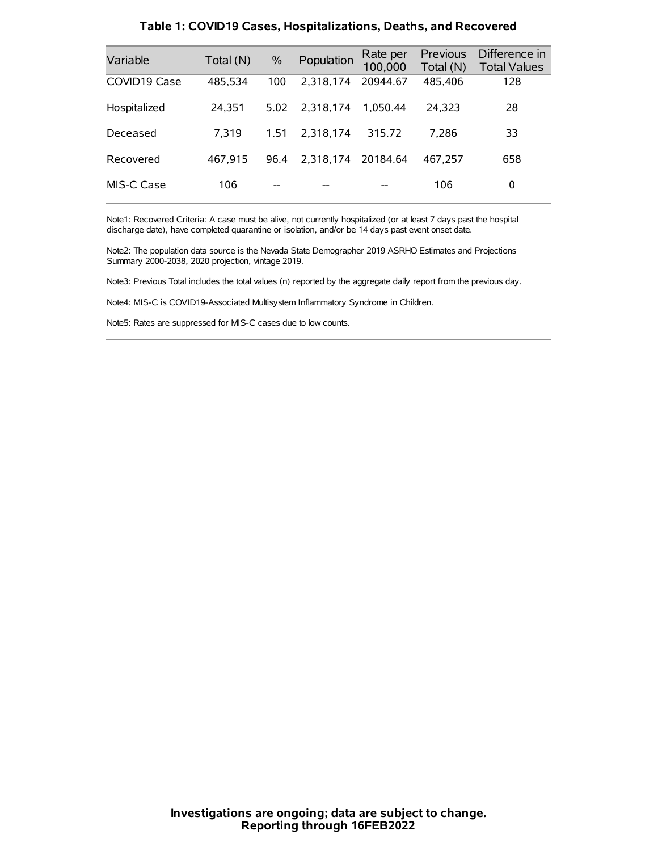| Variable     | Total (N) | $\frac{0}{0}$ | Population | Rate per<br>100,000 | Previous<br>Total (N) | Difference in<br><b>Total Values</b> |
|--------------|-----------|---------------|------------|---------------------|-----------------------|--------------------------------------|
| COVID19 Case | 485,534   | 100           | 2.318.174  | 20944.67            | 485,406               | 128                                  |
| Hospitalized | 24,351    | 5.02          | 2.318.174  | 1.050.44            | 24.323                | 28                                   |
| Deceased     | 7.319     | 1.51          | 2.318.174  | 315.72              | 7.286                 | 33                                   |
| Recovered    | 467.915   | 96.4          | 2.318.174  | 20184.64            | 467.257               | 658                                  |
| MIS-C Case   | 106       | --            |            |                     | 106                   | 0                                    |

#### **Table 1: COVID19 Cases, Hospitalizations, Deaths, and Recovered**

Note1: Recovered Criteria: A case must be alive, not currently hospitalized (or at least 7 days past the hospital discharge date), have completed quarantine or isolation, and/or be 14 days past event onset date.

Note2: The population data source is the Nevada State Demographer 2019 ASRHO Estimates and Projections Summary 2000-2038, 2020 projection, vintage 2019.

Note3: Previous Total includes the total values (n) reported by the aggregate daily report from the previous day.

Note4: MIS-C is COVID19-Associated Multisystem Inflammatory Syndrome in Children.

Note5: Rates are suppressed for MIS-C cases due to low counts.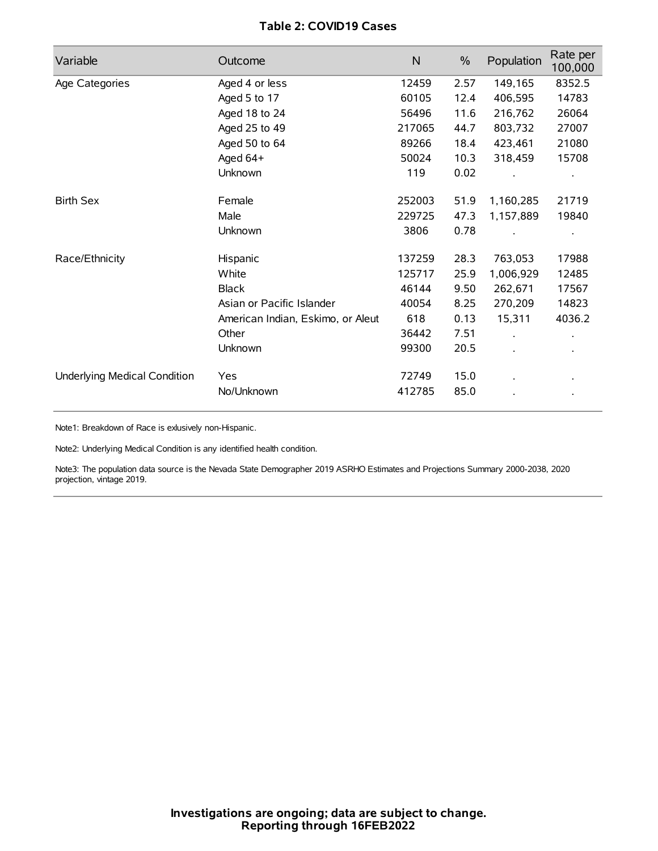# **Table 2: COVID19 Cases**

| Variable                     | Outcome                           | $\mathsf{N}$ | $\%$ | Population           | Rate per<br>100,000 |
|------------------------------|-----------------------------------|--------------|------|----------------------|---------------------|
| Age Categories               | Aged 4 or less                    | 12459        | 2.57 | 149,165              | 8352.5              |
|                              | Aged 5 to 17                      | 60105        | 12.4 | 406,595              | 14783               |
|                              | Aged 18 to 24                     | 56496        | 11.6 | 216,762              | 26064               |
|                              | Aged 25 to 49                     | 217065       | 44.7 | 803,732              | 27007               |
|                              | Aged 50 to 64                     | 89266        | 18.4 | 423,461              | 21080               |
|                              | Aged 64+                          | 50024        | 10.3 | 318,459              | 15708               |
|                              | Unknown                           | 119          | 0.02 |                      |                     |
| <b>Birth Sex</b>             | Female                            | 252003       | 51.9 | 1,160,285            | 21719               |
|                              | Male                              | 229725       | 47.3 | 1,157,889            | 19840               |
|                              | Unknown                           | 3806         | 0.78 |                      |                     |
| Race/Ethnicity               | Hispanic                          | 137259       | 28.3 | 763,053              | 17988               |
|                              | White                             | 125717       | 25.9 | 1,006,929            | 12485               |
|                              | <b>Black</b>                      | 46144        | 9.50 | 262,671              | 17567               |
|                              | Asian or Pacific Islander         | 40054        | 8.25 | 270,209              | 14823               |
|                              | American Indian, Eskimo, or Aleut | 618          | 0.13 | 15,311               | 4036.2              |
|                              | Other                             | 36442        | 7.51 | $\ddot{\phantom{a}}$ |                     |
|                              | Unknown                           | 99300        | 20.5 | ÷.                   |                     |
| Underlying Medical Condition | Yes                               | 72749        | 15.0 |                      |                     |
|                              | No/Unknown                        | 412785       | 85.0 |                      |                     |

Note1: Breakdown of Race is exlusively non-Hispanic.

Note2: Underlying Medical Condition is any identified health condition.

Note3: The population data source is the Nevada State Demographer 2019 ASRHO Estimates and Projections Summary 2000-2038, 2020 projection, vintage 2019.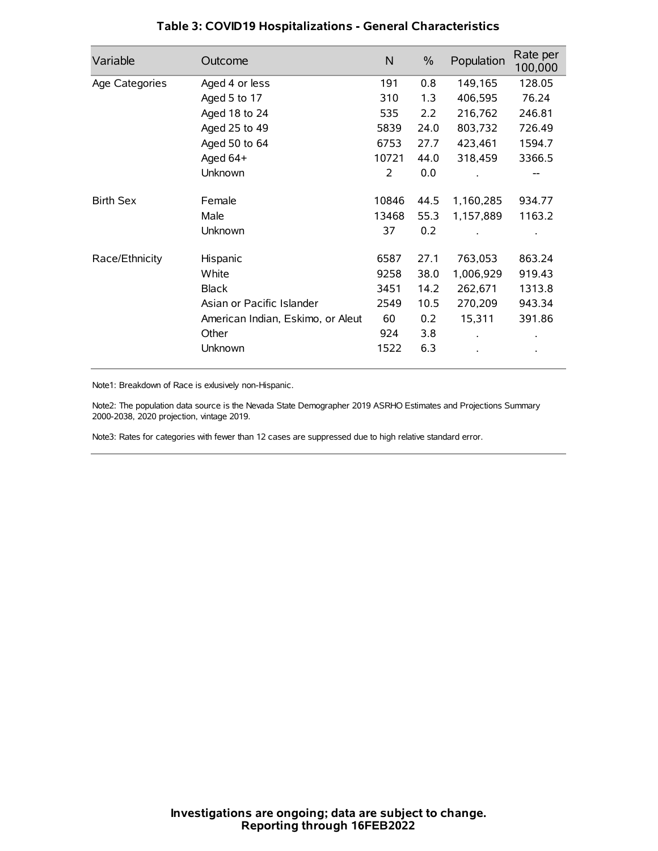| Variable         | Outcome                           | N     | $\%$ | Population | Rate per<br>100,000 |
|------------------|-----------------------------------|-------|------|------------|---------------------|
| Age Categories   | Aged 4 or less                    | 191   | 0.8  | 149,165    | 128.05              |
|                  | Aged 5 to 17                      | 310   | 1.3  | 406,595    | 76.24               |
|                  | Aged 18 to 24                     | 535   | 2.2  | 216,762    | 246.81              |
|                  | Aged 25 to 49                     | 5839  | 24.0 | 803,732    | 726.49              |
|                  | Aged 50 to 64                     | 6753  | 27.7 | 423,461    | 1594.7              |
|                  | Aged 64+                          | 10721 | 44.0 | 318,459    | 3366.5              |
|                  | Unknown                           | 2     | 0.0  |            |                     |
| <b>Birth Sex</b> | Female                            | 10846 | 44.5 | 1,160,285  | 934.77              |
|                  | Male                              | 13468 | 55.3 | 1,157,889  | 1163.2              |
|                  | Unknown                           | 37    | 0.2  |            |                     |
| Race/Ethnicity   | Hispanic                          | 6587  | 27.1 | 763,053    | 863.24              |
|                  | White                             | 9258  | 38.0 | 1,006,929  | 919.43              |
|                  | <b>Black</b>                      | 3451  | 14.2 | 262,671    | 1313.8              |
|                  | Asian or Pacific Islander         | 2549  | 10.5 | 270,209    | 943.34              |
|                  | American Indian, Eskimo, or Aleut | 60    | 0.2  | 15,311     | 391.86              |
|                  | Other                             | 924   | 3.8  |            |                     |
|                  | Unknown                           | 1522  | 6.3  |            |                     |

# **Table 3: COVID19 Hospitalizations - General Characteristics**

Note1: Breakdown of Race is exlusively non-Hispanic.

Note2: The population data source is the Nevada State Demographer 2019 ASRHO Estimates and Projections Summary 2000-2038, 2020 projection, vintage 2019.

Note3: Rates for categories with fewer than 12 cases are suppressed due to high relative standard error.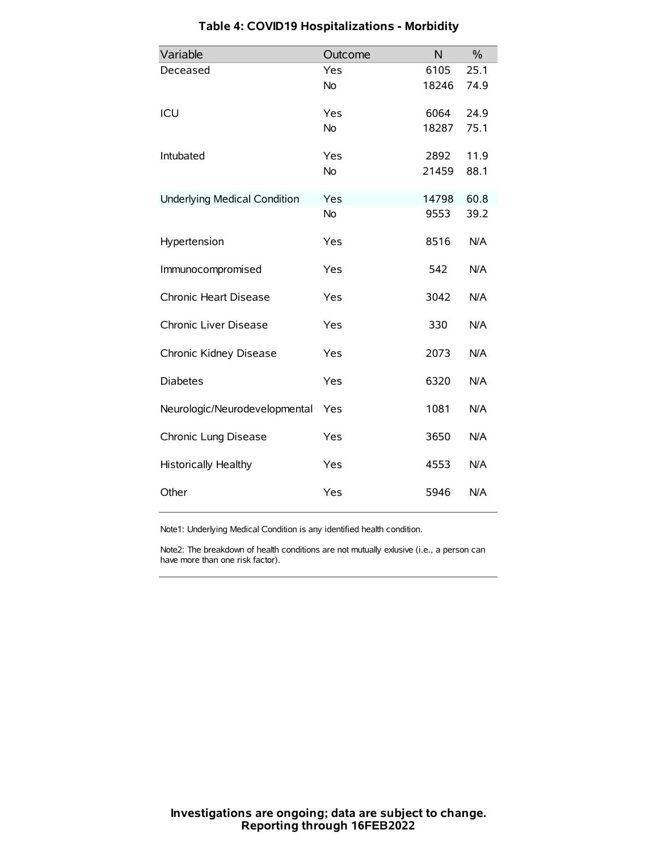| Variable                            | Outcome   | N     | $\frac{0}{0}$ |
|-------------------------------------|-----------|-------|---------------|
| Deceased                            | Yes       | 6105  | 25.1          |
|                                     | No        | 18246 | 74.9          |
| ICU                                 | Yes       | 6064  | 24.9          |
|                                     | <b>No</b> | 18287 | 75.1          |
| Intubated                           | Yes       | 2892  | 11.9          |
|                                     | No        | 21459 | 88.1          |
| <b>Underlying Medical Condition</b> | Yes       | 14798 | 60.8          |
|                                     | <b>No</b> | 9553  | 39.2          |
| Hypertension                        | Yes       | 8516  | N/A           |
| Immunocompromised                   | Yes       | 542   | N/A           |
| Chronic Heart Disease               | Yes       | 3042  | N/A           |
| Chronic Liver Disease               | Yes       | 330   | N/A           |
| Chronic Kidney Disease              | Yes       | 2073  | N/A           |
| <b>Diabetes</b>                     | Yes       | 6320  | N/A           |
| Neurologic/Neurodevelopmental       | Yes       | 1081  | N/A           |
| Chronic Lung Disease                | Yes       | 3650  | N/A           |
| Historically Healthy                | Yes       | 4553  | N/A           |
| Other                               | Yes       | 5946  | N/A           |

# **Table 4: COVID19 Hospitalizations - Morbidity**

Note1: Underlying Medical Condition is any identified health condition.

Note2: The breakdown of health conditions are not mutually exlusive (i.e., a person can have more than one risk factor).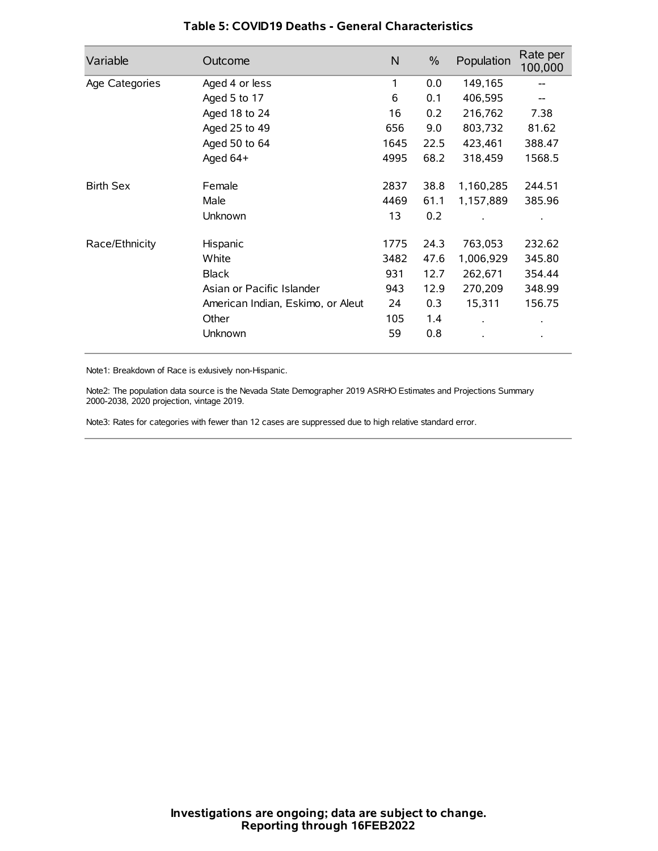| Variable         | Outcome                           | N    | $\%$ | Population           | Rate per<br>100,000 |
|------------------|-----------------------------------|------|------|----------------------|---------------------|
| Age Categories   | Aged 4 or less                    | 1    | 0.0  | 149,165              |                     |
|                  | Aged 5 to 17                      | 6    | 0.1  | 406,595              |                     |
|                  | Aged 18 to 24                     | 16   | 0.2  | 216,762              | 7.38                |
|                  | Aged 25 to 49                     | 656  | 9.0  | 803,732              | 81.62               |
|                  | Aged 50 to 64                     | 1645 | 22.5 | 423,461              | 388.47              |
|                  | Aged 64+                          | 4995 | 68.2 | 318,459              | 1568.5              |
| <b>Birth Sex</b> | Female                            | 2837 | 38.8 | 1,160,285            | 244.51              |
|                  | Male                              | 4469 | 61.1 | 1,157,889            | 385.96              |
|                  | Unknown                           | 13   | 0.2  |                      |                     |
| Race/Ethnicity   | Hispanic                          | 1775 | 24.3 | 763,053              | 232.62              |
|                  | White                             | 3482 | 47.6 | 1,006,929            | 345.80              |
|                  | <b>Black</b>                      | 931  | 12.7 | 262,671              | 354.44              |
|                  | Asian or Pacific Islander         | 943  | 12.9 | 270,209              | 348.99              |
|                  | American Indian, Eskimo, or Aleut | 24   | 0.3  | 15,311               | 156.75              |
|                  | Other                             | 105  | 1.4  | $\ddot{\phantom{0}}$ | $\bullet$           |
|                  | Unknown                           | 59   | 0.8  |                      | $\bullet$           |

## **Table 5: COVID19 Deaths - General Characteristics**

Note1: Breakdown of Race is exlusively non-Hispanic.

Note2: The population data source is the Nevada State Demographer 2019 ASRHO Estimates and Projections Summary 2000-2038, 2020 projection, vintage 2019.

Note3: Rates for categories with fewer than 12 cases are suppressed due to high relative standard error.